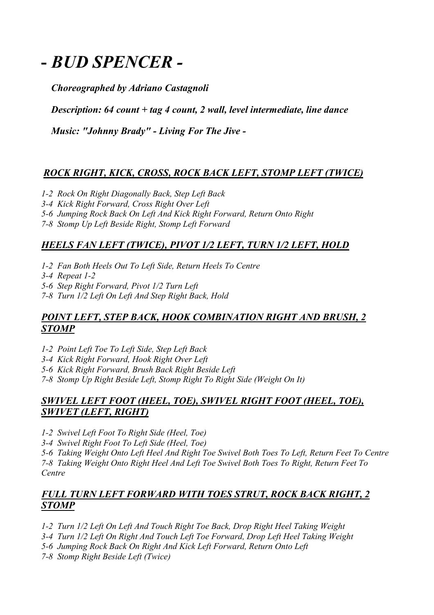# **-** *BUD SPENCER -*

*Choreographed by Adriano Castagnoli*

 *Description: 64 count + tag 4 count, 2 wall, level intermediate, line dance*

 *Music: "Johnny Brady" - Living For The Jive -*

# *ROCK RIGHT, KICK, CROSS, ROCK BACK LEFT, STOMP LEFT (TWICE)*

- *1-2 Rock On Right Diagonally Back, Step Left Back*
- *3-4 Kick Right Forward, Cross Right Over Left*
- *5-6 Jumping Rock Back On Left And Kick Right Forward, Return Onto Right*
- *7-8 Stomp Up Left Beside Right, Stomp Left Forward*

## *HEELS FAN LEFT (TWICE), PIVOT 1/2 LEFT, TURN 1/2 LEFT, HOLD*

- *1-2 Fan Both Heels Out To Left Side, Return Heels To Centre*
- *3-4 Repeat 1-2*
- *5-6 Step Right Forward, Pivot 1/2 Turn Left*
- *7-8 Turn 1/2 Left On Left And Step Right Back, Hold*

#### *POINT LEFT, STEP BACK, HOOK COMBINATION RIGHT AND BRUSH, 2 STOMP*

- *1-2 Point Left Toe To Left Side, Step Left Back*
- *3-4 Kick Right Forward, Hook Right Over Left*
- *5-6 Kick Right Forward, Brush Back Right Beside Left*
- *7-8 Stomp Up Right Beside Left, Stomp Right To Right Side (Weight On It)*

## *SWIVEL LEFT FOOT (HEEL, TOE), SWIVEL RIGHT FOOT (HEEL, TOE), SWIVET (LEFT, RIGHT)*

*1-2 Swivel Left Foot To Right Side (Heel, Toe)* 

*3-4 Swivel Right Foot To Left Side (Heel, Toe)* 

*5-6 Taking Weight Onto Left Heel And Right Toe Swivel Both Toes To Left, Return Feet To Centre 7-8 Taking Weight Onto Right Heel And Left Toe Swivel Both Toes To Right, Return Feet To Centre*

## *FULL TURN LEFT FORWARD WITH TOES STRUT, ROCK BACK RIGHT, 2 STOMP*

- *1-2 Turn 1/2 Left On Left And Touch Right Toe Back, Drop Right Heel Taking Weight*
- *3-4 Turn 1/2 Left On Right And Touch Left Toe Forward, Drop Left Heel Taking Weight*
- *5-6 Jumping Rock Back On Right And Kick Left Forward, Return Onto Left*
- *7-8 Stomp Right Beside Left (Twice)*